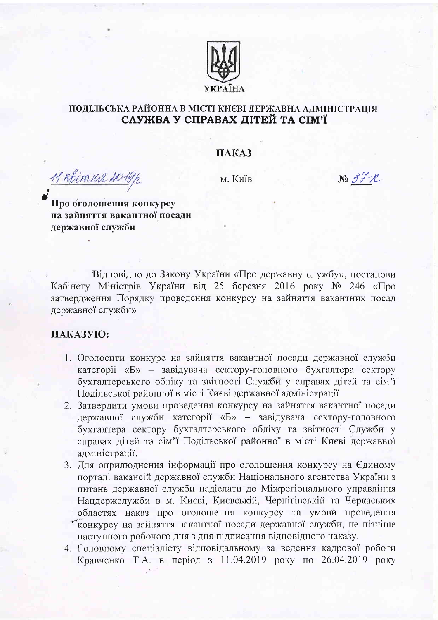

## ПОДІЛЬСЬКА РАЙОННА В МІСТІ КИЄВІ ДЕРЖАВНА АДМІНІСТРАЦІЯ СЛУЖБА У СПРАВАХ ДІТЕЙ ТА СІМ'Ї

## HAKA3

<u>11 Rhimus 2019p</u>

м. Київ

 $N_2$  3  $\mathcal{H}$  +  $\mathcal{R}$ 

Про оголошення конкурсу на зайняття вакантної посали державної служби

Відповідно до Закону України «Про державну службу», постанови Кабінету Міністрів України від 25 березня 2016 року № 246 «Про затвердження Порядку проведення конкурсу на зайняття вакантних посад державної служби»

## НАКАЗУЮ:

- 1. Оголосити конкурс на зайняття вакантної посади державної служби категорії «Б» - завідувача сектору-головного бухгалтера сектору бухгалтерського обліку та звітності Служби у справах дітей та сім'ї Подільської районної в місті Києві державної адміністрації.
- 2. Затвердити умови проведення конкурсу на зайняття вакантної посади державної служби категорії «Б» - завідувача сектору-головного бухгалтера сектору бухгалтерського обліку та звітності Служби у справах дітей та сім'ї Подільської районної в місті Києві державної адміністрації.
- 3. Для оприлюднення інформації про оголошення конкурсу на Єдиному порталі вакансій державної служби Національного агентства України з питань державної служби надіслати до Міжрегіонального управління Нацдержслужби в м. Києві, Києвській, Чернігівській та Черкаських областях наказ про оголошення конкурсу та умови проведення конкурсу на зайняття вакантної посади державної служби, не пізніше наступного робочого дня з дня підписання відповідного наказу.
- 4. Головному спеціалісту відповідальному за ведення кадрової роботи Кравченко Т.А. в період з 11.04.2019 року по 26.04.2019 року